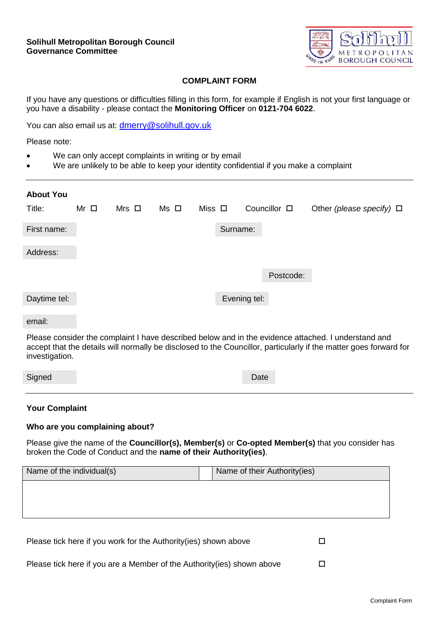

## **COMPLAINT FORM**

If you have any questions or difficulties filling in this form, for example if English is not your first language or you have a disability - please contact the **Monitoring Officer** on **0121-704 6022**.

You can also email us at: [dmerry@solihull.gov.uk](mailto:dmerry@solihull.gov.uk)

Please note:

- We can only accept complaints in writing or by email
- We are unlikely to be able to keep your identity confidential if you make a complaint

| <b>About You</b> |                |                 |      |             |              |                   |                               |
|------------------|----------------|-----------------|------|-------------|--------------|-------------------|-------------------------------|
| Title:           | $Mr$ $\square$ | $Mrs$ $\square$ | Ms □ | Miss $\Box$ |              | Councillor $\Box$ | Other (please specify) $\Box$ |
| First name:      |                |                 |      |             | Surname:     |                   |                               |
| Address:         |                |                 |      |             |              |                   |                               |
|                  |                |                 |      |             |              | Postcode:         |                               |
| Daytime tel:     |                |                 |      |             | Evening tel: |                   |                               |

#### email:

Please consider the complaint I have described below and in the evidence attached. I understand and accept that the details will normally be disclosed to the Councillor, particularly if the matter goes forward for investigation.

| Signed |
|--------|
|        |

## **Your Complaint**

#### **Who are you complaining about?**

Please give the name of the **Councillor(s), Member(s)** or **Co-opted Member(s)** that you consider has broken the Code of Conduct and the **name of their Authority(ies)**.

| Name of the individual(s)                                        | Name of their Authority(ies) |
|------------------------------------------------------------------|------------------------------|
|                                                                  |                              |
|                                                                  |                              |
|                                                                  |                              |
|                                                                  |                              |
| Please tick here if you work for the Authority (ies) shown above |                              |

|  | Please tick here if you are a Member of the Authority (ies) shown above |  |
|--|-------------------------------------------------------------------------|--|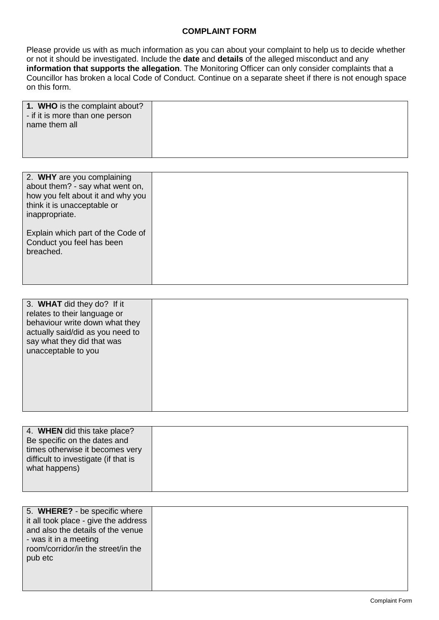## **COMPLAINT FORM**

Please provide us with as much information as you can about your complaint to help us to decide whether or not it should be investigated. Include the **date** and **details** of the alleged misconduct and any **information that supports the allegation**. The Monitoring Officer can only consider complaints that a Councillor has broken a local Code of Conduct. Continue on a separate sheet if there is not enough space on this form.

| 1. WHO is the complaint about?<br>- if it is more than one person |  |
|-------------------------------------------------------------------|--|
| name them all                                                     |  |
|                                                                   |  |

| 2. WHY are you complaining<br>about them? - say what went on,<br>how you felt about it and why you<br>think it is unacceptable or<br>inappropriate. |  |
|-----------------------------------------------------------------------------------------------------------------------------------------------------|--|
| Explain which part of the Code of<br>Conduct you feel has been<br>breached.                                                                         |  |

| 4. WHEN did this take place?         |  |
|--------------------------------------|--|
| Be specific on the dates and         |  |
| times otherwise it becomes very      |  |
| difficult to investigate (if that is |  |
| what happens)                        |  |
|                                      |  |
|                                      |  |

| 5. WHERE? - be specific where        |  |
|--------------------------------------|--|
| it all took place - give the address |  |
| and also the details of the venue    |  |
| - was it in a meeting                |  |
| room/corridor/in the street/in the   |  |
| pub etc                              |  |
|                                      |  |
|                                      |  |
|                                      |  |